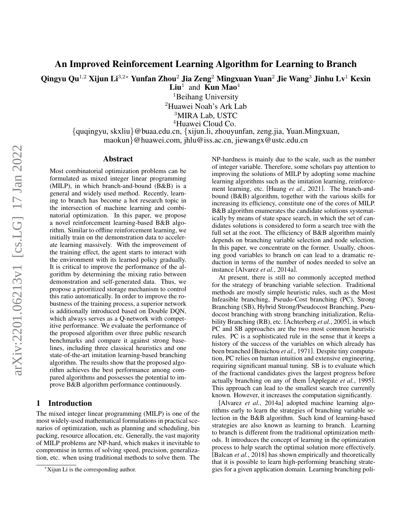# An Improved Reinforcement Learning Algorithm for Learning to Branch

Qingyu Qu<sup>1,2</sup> Xijun Li<sup>3,2</sup>\* Yunfan Zhou<sup>2</sup> Jia Zeng<sup>2</sup> Mingxuan Yuan<sup>2</sup> Jie Wang<sup>3</sup> Jinhu Lv<sup>1</sup> Kexin

 $\mathbf{Liu}^1$  and  $\mathbf{Kun \, Mao}^4$ 

<sup>1</sup>Beihang University

<sup>2</sup>Huawei Noah's Ark Lab

<sup>3</sup>MIRA Lab, USTC

<sup>4</sup>Huawei Cloud Co.

{quqingyu, skxliu}@buaa.edu.cn, {xijun.li, zhouyunfan, zeng.jia, Yuan.Mingxuan, maokun}@huawei.com, jhlu@iss.ac.cn, jiewangx@ustc.edu.cn

#### Abstract

Most combinatorial optimization problems can be formulated as mixed integer linear programming (MILP), in which branch-and-bound (B&B) is a general and widely used method. Recently, learning to branch has become a hot research topic in the intersection of machine learning and combinatorial optimization. In this paper, we propose a novel reinforcement learning-based B&B algorithm. Similar to offline reinforcement learning, we initially train on the demonstration data to accelerate learning massively. With the improvement of the training effect, the agent starts to interact with the environment with its learned policy gradually. It is critical to improve the performance of the algorithm by determining the mixing ratio between demonstration and self-generated data. Thus, we propose a prioritized storage mechanism to control this ratio automatically. In order to improve the robustness of the training process, a superior network is additionally introduced based on Double DQN, which always serves as a Q-network with competitive performance. We evaluate the performance of the proposed algorithm over three public research benchmarks and compare it against strong baselines, including three classical heuristics and one state-of-the-art imitation learning-based branching algorithm. The results show that the proposed algorithm achieves the best performance among compared algorithms and possesses the potential to improve B&B algorithm performance continuously.

## 1 Introduction

The mixed integer linear programming (MILP) is one of the most widely-used mathematical formulations in practical scenarios of optimization, such as planning and scheduling, bin packing, resource allocation, etc. Generally, the vast majority of MILP problems are NP-hard, which makes it inevitable to compromise in terms of solving speed, precision, generalization, etc. when using traditional methods to solve them. The NP-hardness is mainly due to the scale, such as the number of integer variable. Therefore, some scholars pay attention to improving the solutions of MILP by adopting some machine learning algorithms such as the imitation learning, reinforcement learning, etc. [Huang *et al.*[, 2021\]](#page-6-0). The branch-andbound (B&B) algorithm, together with the various skills for increasing its efficiency, constitute one of the cores of MILP. B&B algorithm enumerates the candidate solutions systematically by means of state space search, in which the set of candidates solutions is considered to form a search tree with the full set at the root. The efficiency of B&B algorithm mainly depends on branching variable selection and node selection. In this paper, we concentrate on the former. Usually, choosing good variables to branch on can lead to a dramatic reduction in terms of the number of nodes needed to solve an instance [\[Alvarez](#page-6-1) *et al.*, 2014a].

At present, there is still no commonly accepted method for the strategy of branching variable selection. Traditional methods are mostly simple heuristic rules, such as the Most Infeasible branching, Pseudo-Cost branching (PC), Strong Branching (SB), Hybrid Strong/Pseudocost Branching, Pseudocost branching with strong branching initialization, Reliability Branching (RB), etc. [\[Achterberg](#page-6-2) *et al.*, 2005], in which PC and SB approaches are the two most common heuristic rules. PC is a sophisticated rule in the sense that it keeps a history of the success of the variables on which already has been branched [\[Benichou](#page-6-3) *et al.*, 1971]. Despite tiny computation, PC relies on human intuition and extensive engineering, requiring significant manual tuning. SB is to evaluate which of the fractional candidates gives the largest progress before actually branching on any of them [\[Applegate](#page-6-4) *et al.*, 1995]. This approach can lead to the smallest search tree currently known. However, it increases the computation significantly.

[Alvarez *et al.*[, 2014a\]](#page-6-1) adopted machine learning algorithms early to learn the strategies of branching variable selection in the B&B algorithm. Such kind of learning-based strategies are also known as learning to branch. Learning to branch is different from the traditional optimization methods. It introduces the concept of learning in the optimization process to help search the optimal solution more effectively. [\[Balcan](#page-6-5) *et al.*, 2018] has shown empirically and theoretically that it is possible to learn high-performing branching strategies for a given application domain. Learning branching poli-

<sup>∗</sup>Xijun Li is the corresponding author.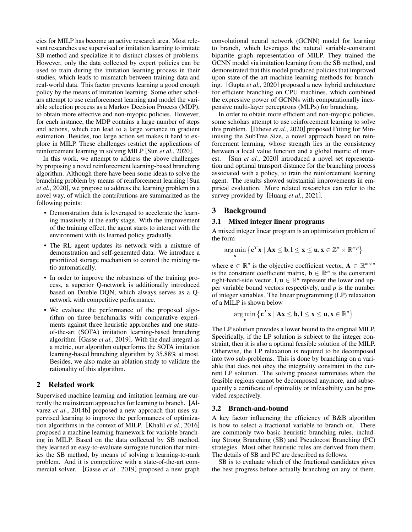cies for MILP has become an active research area. Most relevant researches use supervised or imitation learning to imitate SB method and specialize it to distinct classes of problems. However, only the data collected by expert policies can be used to train during the imitation learning process in their studies, which leads to mismatch between training data and real-world data. This factor prevents learning a good enough policy by the means of imitation learning. Some other scholars attempt to use reinforcement learning and model the variable selection process as a Markov Decision Process (MDP), to obtain more effective and non-myopic policies. However, for each instance, the MDP contains a large number of steps and actions, which can lead to a large variance in gradient estimation. Besides, too large action set makes it hard to explore in MILP. These challenges restrict the applications of reinforcement learning in solving MILP [Sun *et al.*[, 2020\]](#page-6-6).

In this work, we attempt to address the above challenges by proposing a novel reinforcement learning-based branching algorithm. Although there have been some ideas to solve the branching problem by means of reinforcement learning [\[Sun](#page-6-6) *et al.*[, 2020\]](#page-6-6), we propose to address the learning problem in a novel way, of which the contributions are summarized as the following points:

- Demonstration data is leveraged to accelerate the learning massively at the early stage. With the improvement of the training effect, the agent starts to interact with the environment with its learned policy gradually.
- The RL agent updates its network with a mixture of demonstration and self-generated data. We introduce a prioritized storage mechanism to control the mixing ratio automatically.
- In order to improve the robustness of the training process, a superior Q-network is additionally introduced based on Double DQN, which always serves as a Qnetwork with competitive performance.
- We evaluate the performance of the proposed algorithm on three benchmarks with comparative experiments against three heuristic approaches and one stateof-the-art (SOTA) imitation learning-based branching algorithm [Gasse *et al.*[, 2019\]](#page-6-7). With the dual integral as a metric, our algorithm outperforms the SOTA imitation learning-based branching algorithm by 35.88% at most. Besides, we also make an ablation study to validate the rationality of this algorithm.

### 2 Related work

Supervised machine learning and imitation learning are currently the mainstream approaches for learning to branch. [\[Al](#page-6-8)varez *et al.*[, 2014b\]](#page-6-8) proposed a new approach that uses supervised learning to improve the performances of optimization algorithms in the context of MILP. [Khalil *et al.*[, 2016\]](#page-6-9) proposed a machine learning framework for variable branching in MILP. Based on the data collected by SB method, they learned an easy-to-evaluate surrogate function that mimics the SB method, by means of solving a learning-to-rank problem. And it is competitive with a state-of-the-art commercial solver. [Gasse *et al.*[, 2019\]](#page-6-7) proposed a new graph convolutional neural network (GCNN) model for learning to branch, which leverages the natural variable-constraint bipartite graph representation of MILP. They trained the GCNN model via imitation learning from the SB method, and demonstrated that this model produced policies that improved upon state-of-the-art machine learning methods for branching. [Gupta *et al.*[, 2020\]](#page-6-10) proposed a new hybrid architecture for efficient branching on CPU machines, which combined the expressive power of GCNNs with computationally inexpensive multi-layer perceptrons (MLPs) for branching.

In order to obtain more efficient and non-myopic policies, some scholars attempt to use reinforcement learning to solve this problem. [\[Etheve](#page-6-11) *et al.*, 2020] proposed Fitting for Minimising the SubTree Size, a novel approach based on reinforcement learning, whose strength lies in the consistency between a local value function and a global metric of interest. [Sun *et al.*[, 2020\]](#page-6-6) introduced a novel set representation and optimal transport distance for the branching process associated with a policy, to train the reinforcement learning agent. The results showed substantial improvements in empirical evaluation. More related researches can refer to the survey provided by [\[Huang](#page-6-0) *et al.*, 2021].

### 3 Background

## 3.1 Mixed integer linear programs

A mixed integer linear program is an optimization problem of the form

$$
\underset{\mathbf{x}}{\arg\min}\left\{ \mathbf{c}^T\mathbf{x} \mid A\mathbf{x} \leq \mathbf{b}, \mathbf{l} \leq \mathbf{x} \leq \mathbf{u}, \mathbf{x} \in \mathbb{Z}^p \times \mathbb{R}^{n-p} \right\}
$$

where  $\mathbf{c} \in \mathbb{R}^n$  is the objective coefficient vector,  $\mathbf{A} \in \mathbb{R}^{m \times n}$ is the constraint coefficient matrix,  $\mathbf{b} \in \mathbb{R}^m$  is the constraint right-hand-side vector,  $\mathbf{l}, \mathbf{u} \in \mathbb{R}^n$  represent the lower and upper variable bound vectors respectively, and *p* is the number of integer variables. The linear programming (LP) relaxation of a MILP is shown below

$$
\argmin_{\mathbf{x}} \left\{ \mathbf{c}^T \mathbf{x} \mid \mathbf{A} \mathbf{x} \le \mathbf{b}, \mathbf{l} \le \mathbf{x} \le \mathbf{u}, \mathbf{x} \in \mathbb{R}^n \right\}
$$

The LP solution provides a lower bound to the original MILP. Specifically, if the LP solution is subject to the integer constraint, then it is also a optimal feasible solution of the MILP. Otherwise, the LP relaxation is required to be decomposed into two sub-problems. This is done by branching on a variable that does not obey the integrality constraint in the current LP solution. The solving process terminates when the feasible regions cannot be decomposed anymore, and subsequently a certificate of optimality or infeasibility can be provided respectively.

#### 3.2 Branch-and-bound

A key factor influencing the efficiency of B&B algorithm is how to select a fractional variable to branch on. There are commonly two basic heuristic branching rules, including Strong Branching (SB) and Pseudocost Branching (PC) strategies. Most other heuristic rules are derived from them. The details of SB and PC are described as follows.

SB is to evaluate which of the fractional candidates gives the best progress before actually branching on any of them.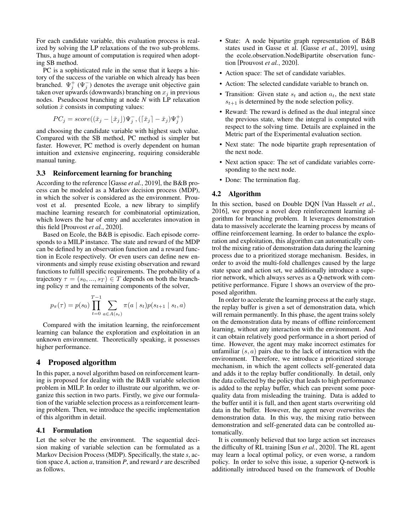For each candidate variable, this evaluation process is realized by solving the LP relaxations of the two sub-problems. Thus, a huge amount of computation is required when adopting SB method.

PC is a sophisticated rule in the sense that it keeps a history of the success of the variable on which already has been branched.  $\Psi_j^+(\Psi_j^-)$  denotes the average unit objective gain taken over upwards (downwards) branching on  $x_i$  in previous nodes. Pseudocost branching at node *N* with LP relaxation solution  $\check{x}$  consists in computing values:

$$
PC_j = score((\check{x}_j - \lfloor \check{x}_j \rfloor) \Psi_j^-, (\lceil \check{x}_j \rceil - \check{x}_j) \Psi_j^+)
$$

and choosing the candidate variable with highest such value. Compared with the SB method, PC method is simpler but faster. However, PC method is overly dependent on human intuition and extensive engineering, requiring considerable manual tuning.

### 3.3 Reinforcement learning for branching

According to the reference [Gasse *et al.*[, 2019\]](#page-6-7), the B&B process can be modeled as a Markov decision process (MDP), in which the solver is considered as the environment. Prouvost et al. presented Ecole, a new library to simplify machine learning research for combinatorial optimization, which lowers the bar of entry and accelerates innovation in this field [\[Prouvost](#page-6-12) *et al.*, 2020].

Based on Ecole, the B&B is episodic. Each episode corresponds to a MILP instance. The state and reward of the MDP can be defined by an observation function and a reward function in Ecole respectively. Or even users can define new environments and simply reuse existing observation and reward functions to fulfill specific requirements. The probability of a trajectory  $\tau = (s_0, ..., s_T) \in T$  depends on both the branching policy  $\pi$  and the remaining components of the solver,

$$
p_{\pi}(\tau) = p(s_0) \prod_{t=0}^{T-1} \sum_{a \in A(s_t)} \pi(a \mid s_t) p(s_{t+1} \mid s_t, a)
$$

Compared with the imitation learning, the reinforcement learning can balance the exploration and exploitation in an unknown environment. Theoretically speaking, it possesses higher performance.

### 4 Proposed algorithm

In this paper, a novel algorithm based on reinforcement learning is proposed for dealing with the B&B variable selection problem in MILP. In order to illustrate our algorithm, we organize this section in two parts. Firstly, we give our formulation of the variable selection process as a reinforcement learning problem. Then, we introduce the specific implementation of this algorithm in detail.

### 4.1 Formulation

Let the solver be the environment. The sequential decision making of variable selection can be formulated as a Markov Decision Process (MDP). Specifically, the state *s*, action space *A*, action *a*, transition *P*, and reward *r* are described as follows.

- State: A node bipartite graph representation of B&B states used in Gasse et al. [Gasse *et al.*[, 2019\]](#page-6-7), using the ecole.observation.NodeBipartite observation function [\[Prouvost](#page-6-12) *et al.*, 2020].
- Action space: The set of candidate variables.
- Action: The selected candidate variable to branch on.
- Transition: Given state  $s_t$  and action  $a_t$ , the next state  $s_{t+1}$  is determined by the node selection policy.
- Reward: The reward is defined as the dual integral since the previous state, where the integral is computed with respect to the solving time. Details are explained in the Metric part of the Experimental evaluation section.
- Next state: The node bipartite graph representation of the next node.
- Next action space: The set of candidate variables corresponding to the next node.
- Done: The termination flag.

#### 4.2 Algorithm

In this section, based on Double DQN [\[Van Hasselt](#page-6-13) *et al.*, [2016\]](#page-6-13), we propose a novel deep reinforcement learning algorithm for branching problem. It leverages demonstration data to massively accelerate the learning process by means of offline reinforcement learning. In order to balance the exploration and exploitation, this algorithm can automatically control the mixing ratio of demonstration data during the learning process due to a prioritized storage mechanism. Besides, in order to avoid the multi-fold challenges caused by the large state space and action set, we additionally introduce a superior network, which always serves as a Q-network with competitive performance. Figure 1 shows an overview of the proposed algorithm.

In order to accelerate the learning process at the early stage, the replay buffer is given a set of demonstration data, which will remain permanently. In this phase, the agent trains solely on the demonstration data by means of offline reinforcement learning, without any interaction with the environment. And it can obtain relatively good performance in a short period of time. However, the agent may make incorrect estimates for unfamiliar  $(s, a)$  pairs due to the lack of interaction with the environment. Therefore, we introduce a prioritized storage mechanism, in which the agent collects self-generated data and adds it to the replay buffer conditionally. In detail, only the data collected by the policy that leads to high performance is added to the replay buffer, which can prevent some poorquality data from misleading the training. Data is added to the buffer until it is full, and then agent starts overwriting old data in the buffer. However, the agent never overwrites the demonstration data. In this way, the mixing ratio between demonstration and self-generated data can be controlled automatically.

It is commonly believed that too large action set increases the difficulty of RL training [Sun *et al.*[, 2020\]](#page-6-6). The RL agent may learn a local optimal policy, or even worse, a random policy. In order to solve this issue, a superior Q-network is additionally introduced based on the framework of Double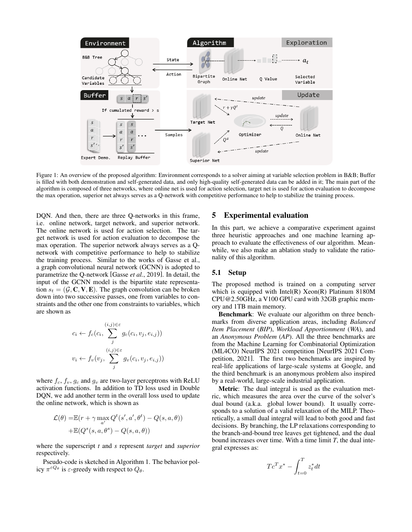

Figure 1: An overview of the proposed algorithm: Environment corresponds to a solver aiming at variable selection problem in B&B; Buffer is filled with both demonstration and self-generated data, and only high-quality self-generated data can be added in it; The main part of the algorithm is composed of three networks, where online net is used for action selection, target net is used for action evaluation to decompose the max operation, superior net always serves as a Q-network with competitive performance to help to stabilize the training process.

DQN. And then, there are three Q-networks in this frame, i.e. online network, target network, and superior network. The online network is used for action selection. The target network is used for action evaluation to decompose the max operation. The superior network always serves as a Qnetwork with competitive performance to help to stabilize the training process. Similar to the works of Gasse et al., a graph convolutional neural network (GCNN) is adopted to parametrize the Q-network [Gasse *et al.*[, 2019\]](#page-6-7). In detail, the input of the GCNN model is the bipartite state representation  $s_t = (\mathcal{G}, \mathbf{C}, \mathbf{V}, \mathbf{E})$ . The graph convolution can be broken down into two successive passes, one from variables to constraints and the other one from constraints to variables, which are shown as

$$
c_i \leftarrow f_c(c_i, \sum_j^{(i,j) \in \varepsilon} g_c(c_i, v_j, e_{i,j}))
$$
  

$$
v_i \leftarrow f_v(v_j, \sum_j^{(i,j) \in \varepsilon} g_v(c_i, v_j, e_{i,j}))
$$

where  $f_c$ ,  $f_v$ ,  $g_c$  and  $g_v$  are two-layer perceptrons with ReLU activation functions. In addition to TD loss used in Double DQN, we add another term in the overall loss used to update the online network, which is shown as

$$
\mathcal{L}(\theta) = \mathbb{E}(r + \gamma \max_{a'} Q^t(s', a', \theta^t) - Q(s, a, \theta))
$$

$$
+ \mathbb{E}(Q^s(s, a, \theta^s) - Q(s, a, \theta))
$$

where the superscript *t* and *s* represent *target* and *superior* respectively.

Pseudo-code is sketched in Algorithm 1. The behavior policy  $\pi^{\varepsilon Q_\theta}$  is  $\varepsilon$ -greedy with respect to  $Q_\theta$ .

### 5 Experimental evaluation

In this part, we achieve a comparative experiment against three heuristic approaches and one machine learning approach to evaluate the effectiveness of our algorithm. Meanwhile, we also make an ablation study to validate the rationality of this algorithm.

### 5.1 Setup

The proposed method is trained on a computing server which is equipped with Intel(R) Xeon(R) Platinum 8180M CPU@2.50GHz, a V100 GPU card with 32GB graphic memory and 1TB main memory.

Benchmark: We evaluate our algorithm on three benchmarks from diverse application areas, including *Balanced Item Placement* (*BIP*), *Workload Apportionment* (*WA*), and an *Anonymous Problem* (*AP*). All the three benchmarks are from the Machine Learning for Combinatorial Optimization (ML4CO) NeurIPS 2021 competition [\[NeurIPS 2021 Com](#page-6-14)[petition, 2021\]](#page-6-14). The first two benchmarks are inspired by real-life applications of large-scale systems at Google, and the third benchmark is an anonymous problem also inspired by a real-world, large-scale industrial application.

Metric: The dual integral is used as the evaluation metric, which measures the area over the curve of the solver's dual bound (a.k.a. global lower bound). It usually corresponds to a solution of a valid relaxation of the MILP. Theoretically, a small dual integral will lead to both good and fast decisions. By branching, the LP relaxations corresponding to the branch-and-bound tree leaves get tightened, and the dual bound increases over time. With a time limit *T*, the dual integral expresses as:

$$
T c^T x^* - \int_{t=0}^T z_t^* dt
$$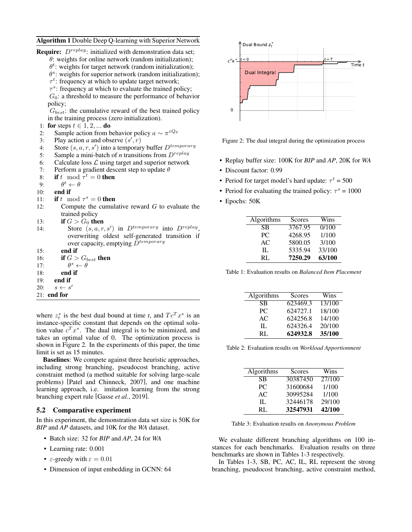#### Algorithm 1 Double Deep Q-learning with Superior Network

| <b>Require:</b> $D^{replay}$ : initialized with demonstration data set;      |
|------------------------------------------------------------------------------|
| $\theta$ : weights for online network (random initialization);               |
| $\theta^t$ : weights for target network (random initialization);             |
| $\theta^s$ : weights for superior network (random initialization);           |
| $\tau^t$ : frequency at which to update target network;                      |
| $\tau$ <sup>s</sup> : frequency at which to evaluate the trained policy;     |
| $G_0$ : a threshold to measure the performance of behavior                   |
| policy;                                                                      |
| $G_{best}$ : the cumulative reward of the best trained policy                |
| in the training process (zero initialization).                               |
| for steps $t \in 1, 2, $ do<br>1:                                            |
| Sample action from behavior policy $a \sim \pi^{\varepsilon Q_\theta}$<br>2: |
| Play action a and observe $(s', r)$<br>3:                                    |
| Store $(s, a, r, s')$ into a temporary buffer $D^{temporary}$<br>4:          |
| Sample a mini-batch of <i>n</i> transitions from $D^{replay}$<br>5:          |
| Calculate loss $\mathcal L$ using target and superior network<br>6:          |
| Perform a gradient descent step to update $\theta$<br>7:                     |
| <b>if</b> t mod $\tau^t = 0$ then<br>8:                                      |
| $\theta^t \leftarrow \theta$<br>9:                                           |
| end if<br>10:                                                                |
| if t mod $\tau^s = 0$ then<br>11:                                            |
| Compute the cumulative reward $G$ to evaluate the<br>12:                     |
| trained policy                                                               |
| if $G > G_0$ then<br>13:                                                     |
| Store $(s, a, r, s')$ in $D^{temporary}$ into $D^{replay}$ .<br>14:          |
| overwriting oldest self-generated transition if                              |
| over capacity, emptying $\tilde{D}^{temporary}$                              |
| end if<br>15:                                                                |
| if $G > G_{best}$ then<br>16:                                                |
| $\theta^s \leftarrow \theta$<br>17:                                          |
| end if<br>18:                                                                |
| 19: <b>end if</b>                                                            |
| 20: $s \leftarrow s'$                                                        |
| $21:$ end for                                                                |

where  $z_t^*$  is the best dual bound at time *t*, and  $T c^T x^*$  is an instance-specific constant that depends on the optimal solution value  $c^T x^*$ . The dual integral is to be minimized, and takes an optimal value of 0. The optimization process is shown in Figure 2. In the experiments of this paper, the time limit is set as 15 minutes.

Baselines: We compete against three heuristic approaches, including strong branching, pseudocost branching, active constraint method (a method suitable for solving large-scale problems) [\[Patel and Chinneck, 2007\]](#page-6-15), and one machine learning approach, i.e. imitation learning from the strong branching expert rule [Gasse *et al.*[, 2019\]](#page-6-7).

## 5.2 Comparative experiment

In this experiment, the demonstration data set size is 50K for *BIP* and *AP* datasets, and 10K for the *WA* dataset.

- Batch size: 32 for *BIP* and *AP*, 24 for *WA*
- Learning rate: 0.001
- $\varepsilon$ -greedy with  $\varepsilon = 0.01$
- Dimension of input embedding in GCNN: 64



Figure 2: The dual integral during the optimization process

- Replay buffer size: 100K for *BIP* and *AP*, 20K for *WA*
- Discount factor: 0.99
- Period for target model's hard update:  $\tau^t = 500$
- Period for evaluating the trained policy:  $\tau^s = 1000$
- Epochs: 50K

| Algorithms | Scores  | Wins   |
|------------|---------|--------|
| SB         | 3767.95 | 0/100  |
| PC.        | 4268.95 | 1/100  |
| AC         | 5800.05 | 3/100  |
| Π.         | 5335.94 | 33/100 |
| RL.        | 7250.29 | 63/100 |

Table 1: Evaluation results on *Balanced Item Placement*

| Algorithms | Scores   | Wins   |
|------------|----------|--------|
| SB         | 623469.3 | 13/100 |
| PC.        | 624727.1 | 18/100 |
| AC         | 624256.8 | 14/100 |
| Π.         | 624326.4 | 20/100 |
| RL.        | 624932.8 | 35/100 |

Table 2: Evaluation results on *Workload Apportionment*

| Algorithms | Scores   | Wins   |
|------------|----------|--------|
| SB         | 30387450 | 27/100 |
| PC.        | 31600684 | 1/100  |
| AC         | 30995284 | 1/100  |
| Π.         | 32446178 | 29/100 |
| RL.        | 32547931 | 42/100 |

Table 3: Evaluation results on *Anonymous Problem*

We evaluate different branching algorithms on 100 instances for each benchmarks. Evaluation results on three benchmarks are shown in Tables 1-3 respectively.

In Tables 1-3, SB, PC, AC, IL, RL represent the strong branching, pseudocost branching, active constraint method,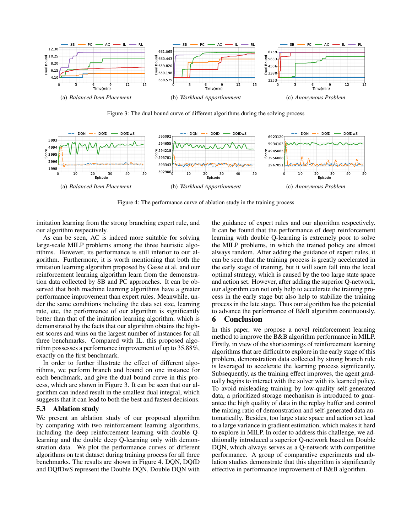

Figure 3: The dual bound curve of different algorithms during the solving process



Figure 4: The performance curve of ablation study in the training process

imitation learning from the strong branching expert rule, and our algorithm respectively.

As can be seen, AC is indeed more suitable for solving large-scale MILP problems among the three heuristic algorithms. However, its performance is still inferior to our algorithm. Furthermore, it is worth mentioning that both the imitation learning algorithm proposed by Gasse et al. and our reinforcement learning algorithm learn from the demonstration data collected by SB and PC approaches. It can be observed that both machine learning algorithms have a greater performance improvement than expert rules. Meanwhile, under the same conditions including the data set size, learning rate, etc, the performance of our algorithm is significantly better than that of the imitation learning algorithm, which is demonstrated by the facts that our algorithm obtains the highest scores and wins on the largest number of instances for all three benchmarks. Compared with IL, this proposed algorithm possesses a performance improvement of up to 35.88%, exactly on the first benchmark.

In order to further illustrate the effect of different algorithms, we perform branch and bound on one instance for each benchmark, and give the dual bound curve in this process, which are shown in Figure 3. It can be seen that our algorithm can indeed result in the smallest dual integral, which suggests that it can lead to both the best and fastest decisions.

## 5.3 Ablation study

We present an ablation study of our proposed algorithm by comparing with two reinforcement learning algorithms, including the deep reinforcement learning with double Qlearning and the double deep Q-learning only with demonstration data. We plot the performance curves of different algorithms on test dataset during training process for all three benchmarks. The results are shown in Figure 4. DQN, DQfD and DQfDwS represent the Double DQN, Double DQN with the guidance of expert rules and our algorithm respectively. It can be found that the performance of deep reinforcement learning with double Q-learning is extremely poor to solve the MILP problems, in which the trained policy are almost always random. After adding the guidance of expert rules, it can be seen that the training process is greatly accelerated in the early stage of training, but it will soon fall into the local optimal strategy, which is caused by the too large state space and action set. However, after adding the superior Q-network, our algorithm can not only help to accelerate the training process in the early stage but also help to stabilize the training process in the late stage. Thus our algorithm has the potential to advance the performance of B&B algorithm continuously.

## 6 Conclusion

In this paper, we propose a novel reinforcement learning method to improve the B&B algorithm performance in MILP. Firstly, in view of the shortcomings of reinforcement learning algorithms that are difficult to explore in the early stage of this problem, demonstration data collected by strong branch rule is leveraged to accelerate the learning process significantly. Subsequently, as the training effect improves, the agent gradually begins to interact with the solver with its learned policy. To avoid misleading training by low-quality self-generated data, a prioritized storage mechanism is introduced to guarantee the high quality of data in the replay buffer and control the mixing ratio of demonstration and self-generated data automatically. Besides, too large state space and action set lead to a large variance in gradient estimation, which makes it hard to explore in MILP. In order to address this challenge, we additionally introduced a superior Q-network based on Double DQN, which always serves as a Q-network with competitive performance. A group of comparative experiments and ablation studies demonstrate that this algorithm is significantly effective in performance improvement of B&B algorithm.